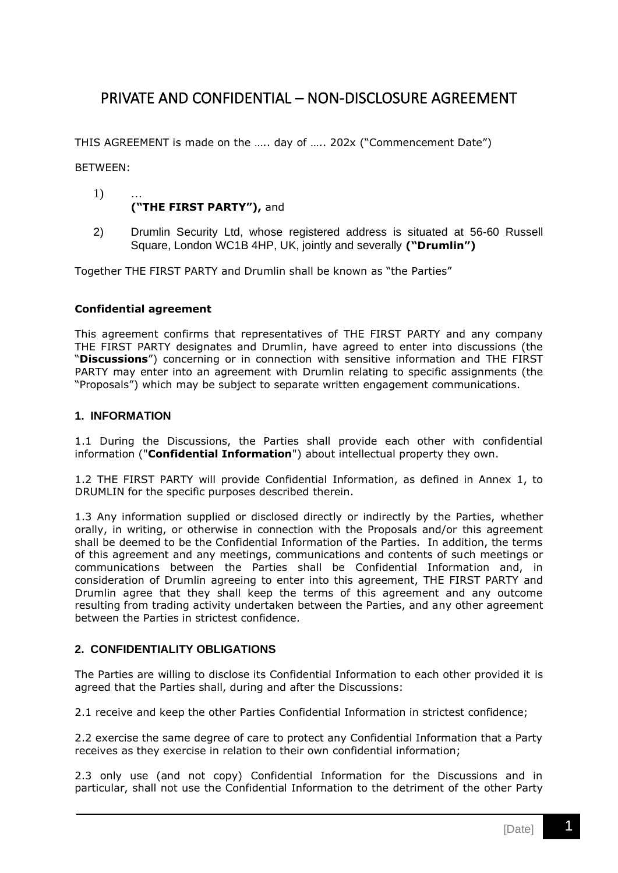# PRIVATE AND CONFIDENTIAL – NON-DISCLOSURE AGREEMENT

THIS AGREEMENT is made on the ….. day of ….. 202x ("Commencement Date")

BETWEEN:

#### 1) … **("THE FIRST PARTY"),** and

2) Drumlin Security Ltd, whose registered address is situated at 56-60 Russell Square, London WC1B 4HP, UK, jointly and severally **("Drumlin")**

Together THE FIRST PARTY and Drumlin shall be known as "the Parties"

#### **Confidential agreement**

This agreement confirms that representatives of THE FIRST PARTY and any company THE FIRST PARTY designates and Drumlin, have agreed to enter into discussions (the "**Discussions**") concerning or in connection with sensitive information and THE FIRST PARTY may enter into an agreement with Drumlin relating to specific assignments (the "Proposals") which may be subject to separate written engagement communications.

#### **1. INFORMATION**

1.1 During the Discussions, the Parties shall provide each other with confidential information ("**Confidential Information**") about intellectual property they own.

1.2 THE FIRST PARTY will provide Confidential Information, as defined in Annex 1, to DRUMLIN for the specific purposes described therein.

1.3 Any information supplied or disclosed directly or indirectly by the Parties, whether orally, in writing, or otherwise in connection with the Proposals and/or this agreement shall be deemed to be the Confidential Information of the Parties. In addition, the terms of this agreement and any meetings, communications and contents of such meetings or communications between the Parties shall be Confidential Information and, in consideration of Drumlin agreeing to enter into this agreement, THE FIRST PARTY and Drumlin agree that they shall keep the terms of this agreement and any outcome resulting from trading activity undertaken between the Parties, and any other agreement between the Parties in strictest confidence.

## **2. CONFIDENTIALITY OBLIGATIONS**

The Parties are willing to disclose its Confidential Information to each other provided it is agreed that the Parties shall, during and after the Discussions:

2.1 receive and keep the other Parties Confidential Information in strictest confidence;

2.2 exercise the same degree of care to protect any Confidential Information that a Party receives as they exercise in relation to their own confidential information;

2.3 only use (and not copy) Confidential Information for the Discussions and in particular, shall not use the Confidential Information to the detriment of the other Party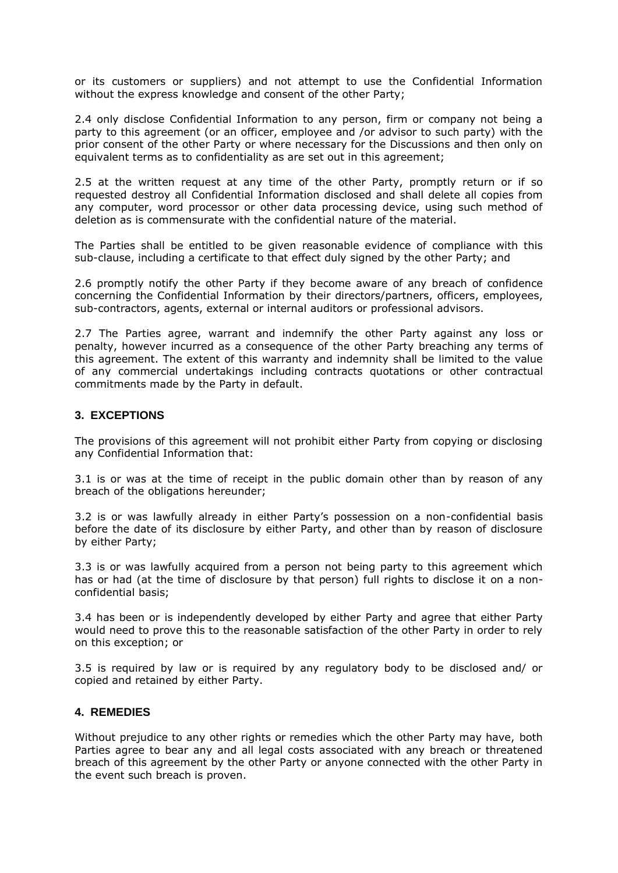or its customers or suppliers) and not attempt to use the Confidential Information without the express knowledge and consent of the other Party;

2.4 only disclose Confidential Information to any person, firm or company not being a party to this agreement (or an officer, employee and /or advisor to such party) with the prior consent of the other Party or where necessary for the Discussions and then only on equivalent terms as to confidentiality as are set out in this agreement;

2.5 at the written request at any time of the other Party, promptly return or if so requested destroy all Confidential Information disclosed and shall delete all copies from any computer, word processor or other data processing device, using such method of deletion as is commensurate with the confidential nature of the material.

The Parties shall be entitled to be given reasonable evidence of compliance with this sub-clause, including a certificate to that effect duly signed by the other Party; and

2.6 promptly notify the other Party if they become aware of any breach of confidence concerning the Confidential Information by their directors/partners, officers, employees, sub-contractors, agents, external or internal auditors or professional advisors.

2.7 The Parties agree, warrant and indemnify the other Party against any loss or penalty, however incurred as a consequence of the other Party breaching any terms of this agreement. The extent of this warranty and indemnity shall be limited to the value of any commercial undertakings including contracts quotations or other contractual commitments made by the Party in default.

## **3. EXCEPTIONS**

The provisions of this agreement will not prohibit either Party from copying or disclosing any Confidential Information that:

3.1 is or was at the time of receipt in the public domain other than by reason of any breach of the obligations hereunder;

3.2 is or was lawfully already in either Party's possession on a non-confidential basis before the date of its disclosure by either Party, and other than by reason of disclosure by either Party;

3.3 is or was lawfully acquired from a person not being party to this agreement which has or had (at the time of disclosure by that person) full rights to disclose it on a nonconfidential basis;

3.4 has been or is independently developed by either Party and agree that either Party would need to prove this to the reasonable satisfaction of the other Party in order to rely on this exception; or

3.5 is required by law or is required by any regulatory body to be disclosed and/ or copied and retained by either Party.

## **4. REMEDIES**

Without prejudice to any other rights or remedies which the other Party may have, both Parties agree to bear any and all legal costs associated with any breach or threatened breach of this agreement by the other Party or anyone connected with the other Party in the event such breach is proven.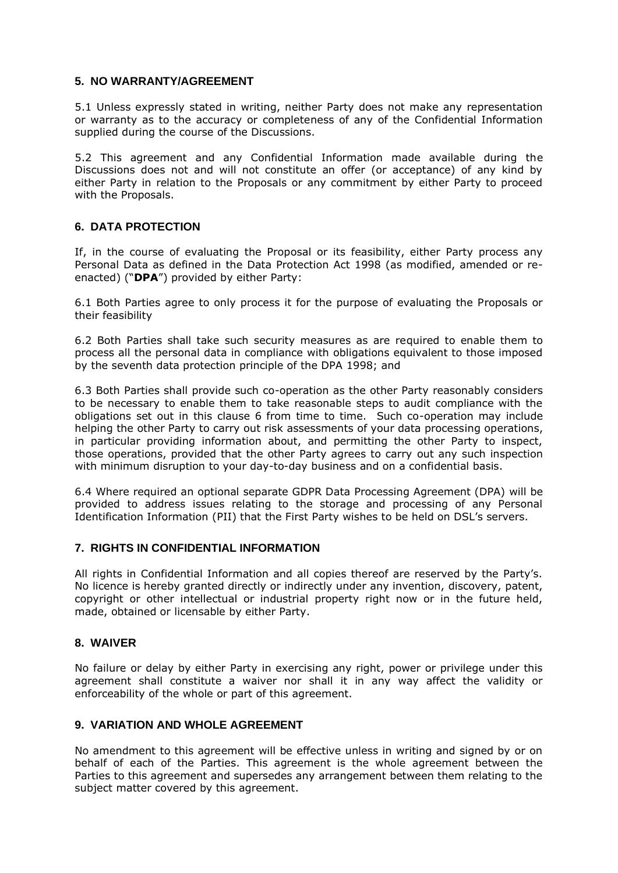## **5. NO WARRANTY/AGREEMENT**

5.1 Unless expressly stated in writing, neither Party does not make any representation or warranty as to the accuracy or completeness of any of the Confidential Information supplied during the course of the Discussions.

5.2 This agreement and any Confidential Information made available during the Discussions does not and will not constitute an offer (or acceptance) of any kind by either Party in relation to the Proposals or any commitment by either Party to proceed with the Proposals.

## **6. DATA PROTECTION**

If, in the course of evaluating the Proposal or its feasibility, either Party process any Personal Data as defined in the Data Protection Act 1998 (as modified, amended or reenacted) ("**DPA**") provided by either Party:

6.1 Both Parties agree to only process it for the purpose of evaluating the Proposals or their feasibility

6.2 Both Parties shall take such security measures as are required to enable them to process all the personal data in compliance with obligations equivalent to those imposed by the seventh data protection principle of the DPA 1998; and

6.3 Both Parties shall provide such co-operation as the other Party reasonably considers to be necessary to enable them to take reasonable steps to audit compliance with the obligations set out in this clause 6 from time to time. Such co-operation may include helping the other Party to carry out risk assessments of your data processing operations, in particular providing information about, and permitting the other Party to inspect, those operations, provided that the other Party agrees to carry out any such inspection with minimum disruption to your day-to-day business and on a confidential basis.

6.4 Where required an optional separate GDPR Data Processing Agreement (DPA) will be provided to address issues relating to the storage and processing of any Personal Identification Information (PII) that the First Party wishes to be held on DSL's servers.

## **7. RIGHTS IN CONFIDENTIAL INFORMATION**

All rights in Confidential Information and all copies thereof are reserved by the Party's. No licence is hereby granted directly or indirectly under any invention, discovery, patent, copyright or other intellectual or industrial property right now or in the future held, made, obtained or licensable by either Party.

## **8. WAIVER**

No failure or delay by either Party in exercising any right, power or privilege under this agreement shall constitute a waiver nor shall it in any way affect the validity or enforceability of the whole or part of this agreement.

## **9. VARIATION AND WHOLE AGREEMENT**

No amendment to this agreement will be effective unless in writing and signed by or on behalf of each of the Parties. This agreement is the whole agreement between the Parties to this agreement and supersedes any arrangement between them relating to the subject matter covered by this agreement.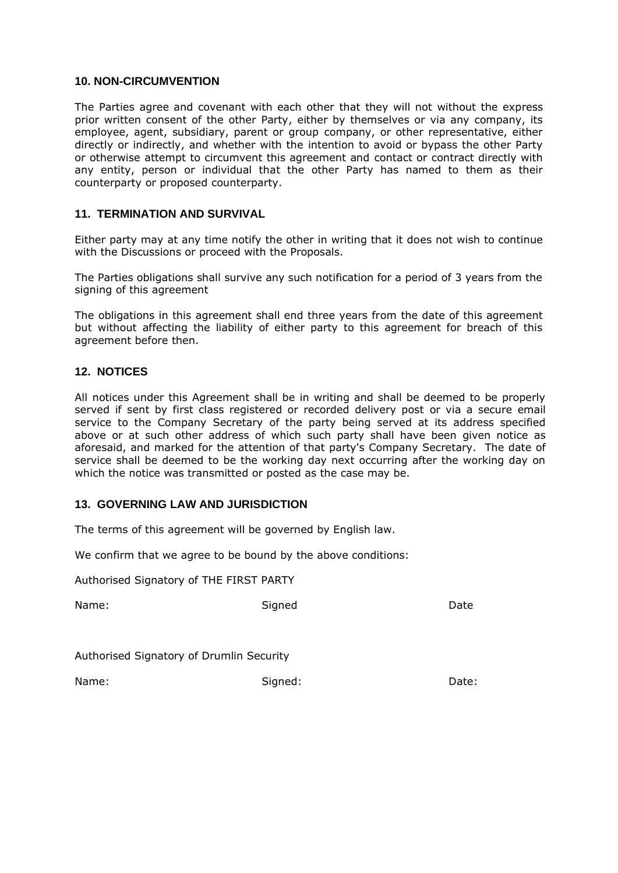#### **10. NON-CIRCUMVENTION**

The Parties agree and covenant with each other that they will not without the express prior written consent of the other Party, either by themselves or via any company, its employee, agent, subsidiary, parent or group company, or other representative, either directly or indirectly, and whether with the intention to avoid or bypass the other Party or otherwise attempt to circumvent this agreement and contact or contract directly with any entity, person or individual that the other Party has named to them as their counterparty or proposed counterparty.

### **11. TERMINATION AND SURVIVAL**

Either party may at any time notify the other in writing that it does not wish to continue with the Discussions or proceed with the Proposals.

The Parties obligations shall survive any such notification for a period of 3 years from the signing of this agreement

The obligations in this agreement shall end three years from the date of this agreement but without affecting the liability of either party to this agreement for breach of this agreement before then.

#### **12. NOTICES**

All notices under this Agreement shall be in writing and shall be deemed to be properly served if sent by first class registered or recorded delivery post or via a secure email service to the Company Secretary of the party being served at its address specified above or at such other address of which such party shall have been given notice as aforesaid, and marked for the attention of that party's Company Secretary. The date of service shall be deemed to be the working day next occurring after the working day on which the notice was transmitted or posted as the case may be.

#### **13. GOVERNING LAW AND JURISDICTION**

The terms of this agreement will be governed by English law.

We confirm that we agree to be bound by the above conditions:

Authorised Signatory of THE FIRST PARTY

Name: Signed Date

Authorised Signatory of Drumlin Security

Name: Signed: Date: